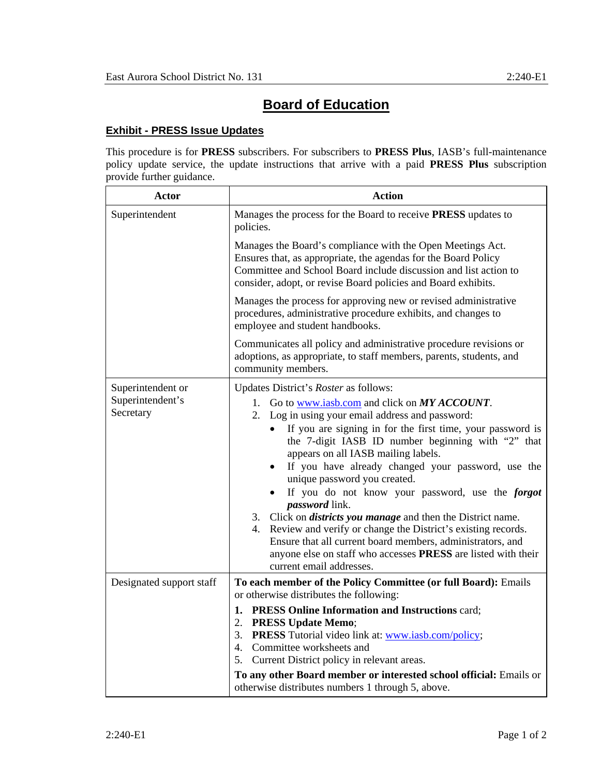## **Board of Education**

## **Exhibit - PRESS Issue Updates**

This procedure is for **PRESS** subscribers. For subscribers to **PRESS Plus**, IASB's full-maintenance policy update service, the update instructions that arrive with a paid **PRESS Plus** subscription provide further guidance.

| Actor                         | <b>Action</b>                                                                                                                                                                                                                                                                                                                                                                                                                                                                                                                                                                                                                                                                                                                                             |
|-------------------------------|-----------------------------------------------------------------------------------------------------------------------------------------------------------------------------------------------------------------------------------------------------------------------------------------------------------------------------------------------------------------------------------------------------------------------------------------------------------------------------------------------------------------------------------------------------------------------------------------------------------------------------------------------------------------------------------------------------------------------------------------------------------|
| Superintendent                | Manages the process for the Board to receive PRESS updates to<br>policies.                                                                                                                                                                                                                                                                                                                                                                                                                                                                                                                                                                                                                                                                                |
|                               | Manages the Board's compliance with the Open Meetings Act.<br>Ensures that, as appropriate, the agendas for the Board Policy<br>Committee and School Board include discussion and list action to<br>consider, adopt, or revise Board policies and Board exhibits.                                                                                                                                                                                                                                                                                                                                                                                                                                                                                         |
|                               | Manages the process for approving new or revised administrative<br>procedures, administrative procedure exhibits, and changes to<br>employee and student handbooks.                                                                                                                                                                                                                                                                                                                                                                                                                                                                                                                                                                                       |
|                               | Communicates all policy and administrative procedure revisions or<br>adoptions, as appropriate, to staff members, parents, students, and<br>community members.                                                                                                                                                                                                                                                                                                                                                                                                                                                                                                                                                                                            |
| Superintendent or             | Updates District's Roster as follows:                                                                                                                                                                                                                                                                                                                                                                                                                                                                                                                                                                                                                                                                                                                     |
| Superintendent's<br>Secretary | 1. Go to www.iasb.com and click on MY ACCOUNT.<br>2. Log in using your email address and password:<br>If you are signing in for the first time, your password is<br>$\bullet$<br>the 7-digit IASB ID number beginning with "2" that<br>appears on all IASB mailing labels.<br>If you have already changed your password, use the<br>unique password you created.<br>If you do not know your password, use the <i>forgot</i><br><i>password</i> link.<br>3. Click on <i>districts you manage</i> and then the District name.<br>4. Review and verify or change the District's existing records.<br>Ensure that all current board members, administrators, and<br>anyone else on staff who accesses PRESS are listed with their<br>current email addresses. |
| Designated support staff      | To each member of the Policy Committee (or full Board): Emails<br>or otherwise distributes the following:                                                                                                                                                                                                                                                                                                                                                                                                                                                                                                                                                                                                                                                 |
|                               | 1. PRESS Online Information and Instructions card;<br>2. PRESS Update Memo;<br>3. PRESS Tutorial video link at: www.iasb.com/policy;<br>4. Committee worksheets and<br>5.<br>Current District policy in relevant areas.<br>To any other Board member or interested school official: Emails or<br>otherwise distributes numbers 1 through 5, above.                                                                                                                                                                                                                                                                                                                                                                                                        |